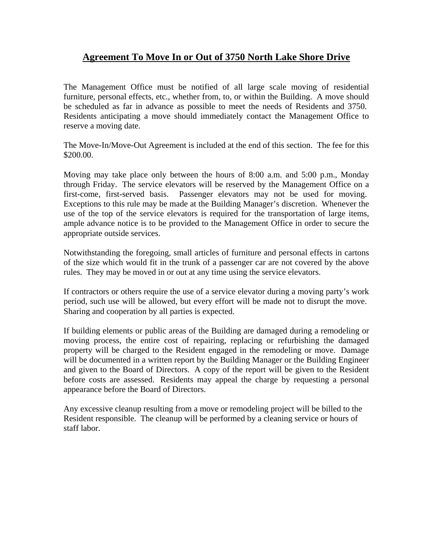## **Agreement To Move In or Out of 3750 North Lake Shore Drive**

The Management Office must be notified of all large scale moving of residential furniture, personal effects, etc., whether from, to, or within the Building. A move should be scheduled as far in advance as possible to meet the needs of Residents and 3750. Residents anticipating a move should immediately contact the Management Office to reserve a moving date.

The Move-In/Move-Out Agreement is included at the end of this section. The fee for this \$200.00.

Moving may take place only between the hours of 8:00 a.m. and 5:00 p.m., Monday through Friday. The service elevators will be reserved by the Management Office on a first-come, first-served basis. Passenger elevators may not be used for moving. Exceptions to this rule may be made at the Building Manager's discretion. Whenever the use of the top of the service elevators is required for the transportation of large items, ample advance notice is to be provided to the Management Office in order to secure the appropriate outside services.

Notwithstanding the foregoing, small articles of furniture and personal effects in cartons of the size which would fit in the trunk of a passenger car are not covered by the above rules. They may be moved in or out at any time using the service elevators.

If contractors or others require the use of a service elevator during a moving party's work period, such use will be allowed, but every effort will be made not to disrupt the move. Sharing and cooperation by all parties is expected.

If building elements or public areas of the Building are damaged during a remodeling or moving process, the entire cost of repairing, replacing or refurbishing the damaged property will be charged to the Resident engaged in the remodeling or move. Damage will be documented in a written report by the Building Manager or the Building Engineer and given to the Board of Directors. A copy of the report will be given to the Resident before costs are assessed. Residents may appeal the charge by requesting a personal appearance before the Board of Directors.

Any excessive cleanup resulting from a move or remodeling project will be billed to the Resident responsible. The cleanup will be performed by a cleaning service or hours of staff labor.